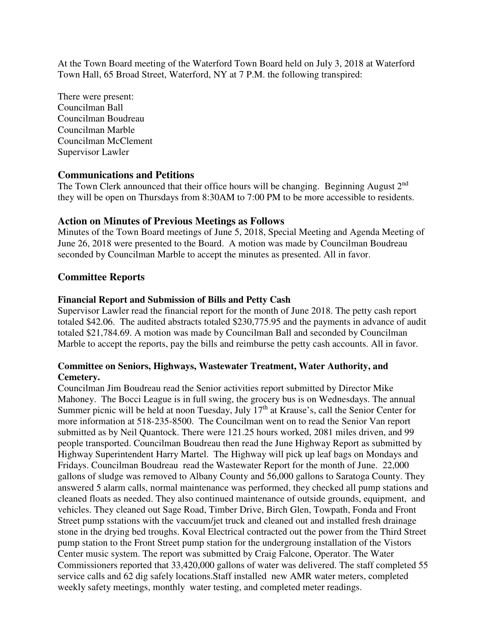At the Town Board meeting of the Waterford Town Board held on July 3, 2018 at Waterford Town Hall, 65 Broad Street, Waterford, NY at 7 P.M. the following transpired:

There were present: Councilman Ball Councilman Boudreau Councilman Marble Councilman McClement Supervisor Lawler

## **Communications and Petitions**

The Town Clerk announced that their office hours will be changing. Beginning August  $2<sup>nd</sup>$ they will be open on Thursdays from 8:30AM to 7:00 PM to be more accessible to residents.

## **Action on Minutes of Previous Meetings as Follows**

Minutes of the Town Board meetings of June 5, 2018, Special Meeting and Agenda Meeting of June 26, 2018 were presented to the Board. A motion was made by Councilman Boudreau seconded by Councilman Marble to accept the minutes as presented. All in favor.

# **Committee Reports**

#### **Financial Report and Submission of Bills and Petty Cash**

Supervisor Lawler read the financial report for the month of June 2018. The petty cash report totaled \$42.06. The audited abstracts totaled \$230,775.95 and the payments in advance of audit totaled \$21,784.69. A motion was made by Councilman Ball and seconded by Councilman Marble to accept the reports, pay the bills and reimburse the petty cash accounts. All in favor.

## **Committee on Seniors, Highways, Wastewater Treatment, Water Authority, and Cemetery.**

Councilman Jim Boudreau read the Senior activities report submitted by Director Mike Mahoney. The Bocci League is in full swing, the grocery bus is on Wednesdays. The annual Summer picnic will be held at noon Tuesday, July 17<sup>th</sup> at Krause's, call the Senior Center for more information at 518-235-8500. The Councilman went on to read the Senior Van report submitted as by Neil Quantock. There were 121.25 hours worked, 2081 miles driven, and 99 people transported. Councilman Boudreau then read the June Highway Report as submitted by Highway Superintendent Harry Martel. The Highway will pick up leaf bags on Mondays and Fridays. Councilman Boudreau read the Wastewater Report for the month of June. 22,000 gallons of sludge was removed to Albany County and 56,000 gallons to Saratoga County. They answered 5 alarm calls, normal maintenance was performed, they checked all pump stations and cleaned floats as needed. They also continued maintenance of outside grounds, equipment, and vehicles. They cleaned out Sage Road, Timber Drive, Birch Glen, Towpath, Fonda and Front Street pump sstations with the vaccuum/jet truck and cleaned out and installed fresh drainage stone in the drying bed troughs. Koval Electrical contracted out the power from the Third Street pump station to the Front Street pump station for the undergroung installation of the Vistors Center music system. The report was submitted by Craig Falcone, Operator. The Water Commissioners reported that 33,420,000 gallons of water was delivered. The staff completed 55 service calls and 62 dig safely locations.Staff installed new AMR water meters, completed weekly safety meetings, monthly water testing, and completed meter readings.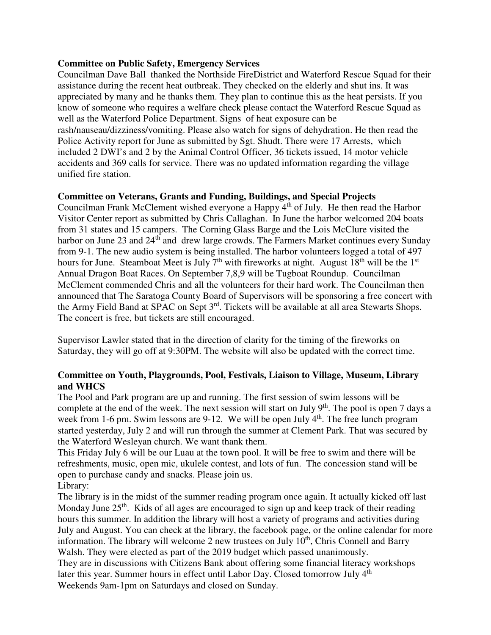## **Committee on Public Safety, Emergency Services**

Councilman Dave Ball thanked the Northside FireDistrict and Waterford Rescue Squad for their assistance during the recent heat outbreak. They checked on the elderly and shut ins. It was appreciated by many and he thanks them. They plan to continue this as the heat persists. If you know of someone who requires a welfare check please contact the Waterford Rescue Squad as well as the Waterford Police Department. Signs of heat exposure can be rash/nauseau/dizziness/vomiting. Please also watch for signs of dehydration. He then read the Police Activity report for June as submitted by Sgt. Shudt. There were 17 Arrests, which included 2 DWI's and 2 by the Animal Control Officer, 36 tickets issued, 14 motor vehicle accidents and 369 calls for service. There was no updated information regarding the village unified fire station.

# **Committee on Veterans, Grants and Funding, Buildings, and Special Projects**

Councilman Frank McClement wished everyone a Happy 4<sup>th</sup> of July. He then read the Harbor Visitor Center report as submitted by Chris Callaghan. In June the harbor welcomed 204 boats from 31 states and 15 campers. The Corning Glass Barge and the Lois McClure visited the harbor on June 23 and 24<sup>th</sup> and drew large crowds. The Farmers Market continues every Sunday from 9-1. The new audio system is being installed. The harbor volunteers logged a total of 497 hours for June. Steamboat Meet is July  $7<sup>th</sup>$  with fireworks at night. August 18<sup>th</sup> will be the 1<sup>st</sup> Annual Dragon Boat Races. On September 7,8,9 will be Tugboat Roundup. Councilman McClement commended Chris and all the volunteers for their hard work. The Councilman then announced that The Saratoga County Board of Supervisors will be sponsoring a free concert with the Army Field Band at SPAC on Sept 3rd. Tickets will be available at all area Stewarts Shops. The concert is free, but tickets are still encouraged.

Supervisor Lawler stated that in the direction of clarity for the timing of the fireworks on Saturday, they will go off at 9:30PM. The website will also be updated with the correct time.

## **Committee on Youth, Playgrounds, Pool, Festivals, Liaison to Village, Museum, Library and WHCS**

The Pool and Park program are up and running. The first session of swim lessons will be complete at the end of the week. The next session will start on July  $9<sup>th</sup>$ . The pool is open 7 days a week from 1-6 pm. Swim lessons are 9-12. We will be open July 4<sup>th</sup>. The free lunch program started yesterday, July 2 and will run through the summer at Clement Park. That was secured by the Waterford Wesleyan church. We want thank them.

This Friday July 6 will be our Luau at the town pool. It will be free to swim and there will be refreshments, music, open mic, ukulele contest, and lots of fun. The concession stand will be open to purchase candy and snacks. Please join us.

Library:

The library is in the midst of the summer reading program once again. It actually kicked off last Monday June  $25<sup>th</sup>$ . Kids of all ages are encouraged to sign up and keep track of their reading hours this summer. In addition the library will host a variety of programs and activities during July and August. You can check at the library, the facebook page, or the online calendar for more information. The library will welcome 2 new trustees on July  $10<sup>th</sup>$ , Chris Connell and Barry Walsh. They were elected as part of the 2019 budget which passed unanimously.

They are in discussions with Citizens Bank about offering some financial literacy workshops later this year. Summer hours in effect until Labor Day. Closed tomorrow July 4<sup>th</sup> Weekends 9am-1pm on Saturdays and closed on Sunday.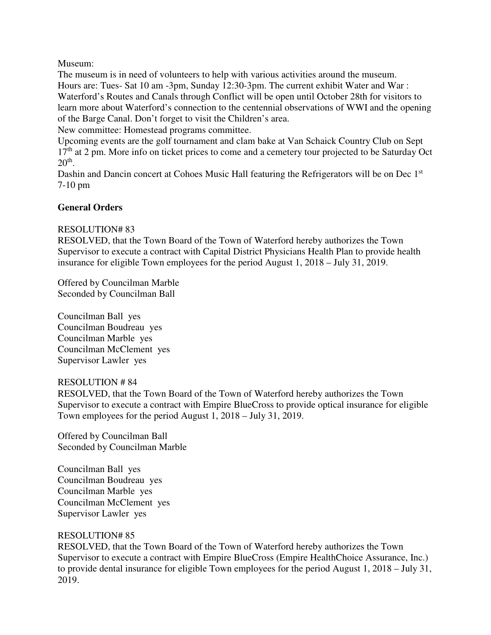Museum:

The museum is in need of volunteers to help with various activities around the museum. Hours are: Tues- Sat 10 am -3pm, Sunday 12:30-3pm. The current exhibit Water and War : Waterford's Routes and Canals through Conflict will be open until October 28th for visitors to learn more about Waterford's connection to the centennial observations of WWI and the opening of the Barge Canal. Don't forget to visit the Children's area.

New committee: Homestead programs committee.

Upcoming events are the golf tournament and clam bake at Van Schaick Country Club on Sept 17<sup>th</sup> at 2 pm. More info on ticket prices to come and a cemetery tour projected to be Saturday Oct  $20<sup>th</sup>$ .

Dashin and Dancin concert at Cohoes Music Hall featuring the Refrigerators will be on Dec 1<sup>st</sup> 7-10 pm

# **General Orders**

# RESOLUTION# 83

RESOLVED, that the Town Board of the Town of Waterford hereby authorizes the Town Supervisor to execute a contract with Capital District Physicians Health Plan to provide health insurance for eligible Town employees for the period August 1, 2018 – July 31, 2019.

Offered by Councilman Marble Seconded by Councilman Ball

Councilman Ball yes Councilman Boudreau yes Councilman Marble yes Councilman McClement yes Supervisor Lawler yes

# RESOLUTION # 84

RESOLVED, that the Town Board of the Town of Waterford hereby authorizes the Town Supervisor to execute a contract with Empire BlueCross to provide optical insurance for eligible Town employees for the period August 1, 2018 – July 31, 2019.

Offered by Councilman Ball Seconded by Councilman Marble

Councilman Ball yes Councilman Boudreau yes Councilman Marble yes Councilman McClement yes Supervisor Lawler yes

# RESOLUTION# 85

RESOLVED, that the Town Board of the Town of Waterford hereby authorizes the Town Supervisor to execute a contract with Empire BlueCross (Empire HealthChoice Assurance, Inc.) to provide dental insurance for eligible Town employees for the period August 1, 2018 – July 31, 2019.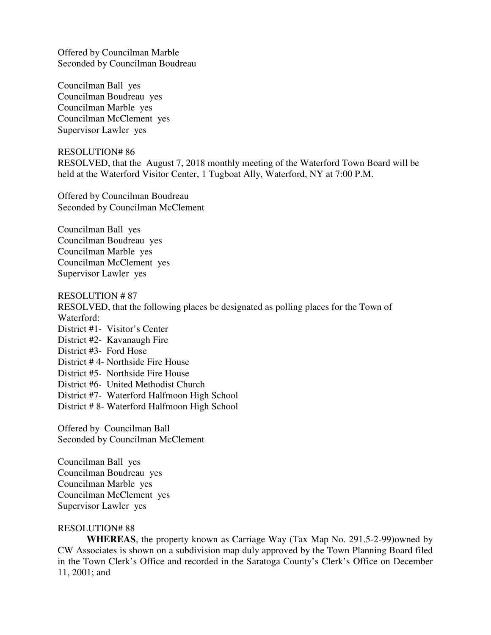Offered by Councilman Marble Seconded by Councilman Boudreau

Councilman Ball yes Councilman Boudreau yes Councilman Marble yes Councilman McClement yes Supervisor Lawler yes

#### RESOLUTION# 86

RESOLVED, that the August 7, 2018 monthly meeting of the Waterford Town Board will be held at the Waterford Visitor Center, 1 Tugboat Ally, Waterford, NY at 7:00 P.M.

Offered by Councilman Boudreau Seconded by Councilman McClement

Councilman Ball yes Councilman Boudreau yes Councilman Marble yes Councilman McClement yes Supervisor Lawler yes

#### RESOLUTION # 87

RESOLVED, that the following places be designated as polling places for the Town of Waterford: District #1- Visitor's Center District #2- Kavanaugh Fire District #3- Ford Hose District # 4- Northside Fire House District #5- Northside Fire House District #6- United Methodist Church District #7- Waterford Halfmoon High School District # 8- Waterford Halfmoon High School

Offered by Councilman Ball Seconded by Councilman McClement

Councilman Ball yes Councilman Boudreau yes Councilman Marble yes Councilman McClement yes Supervisor Lawler yes

#### RESOLUTION# 88

**WHEREAS**, the property known as Carriage Way (Tax Map No. 291.5-2-99)owned by CW Associates is shown on a subdivision map duly approved by the Town Planning Board filed in the Town Clerk's Office and recorded in the Saratoga County's Clerk's Office on December 11, 2001; and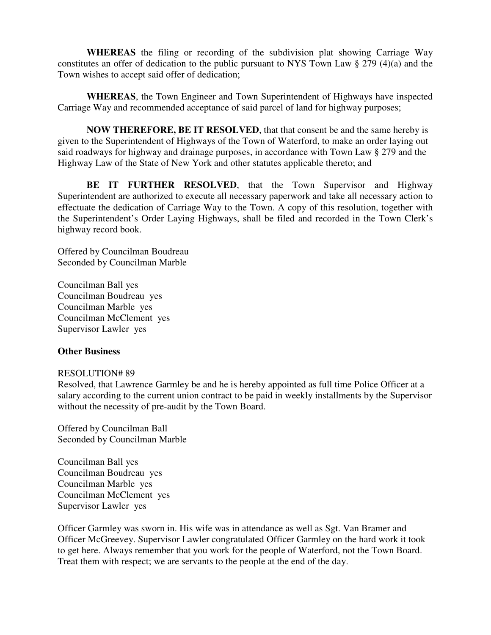**WHEREAS** the filing or recording of the subdivision plat showing Carriage Way constitutes an offer of dedication to the public pursuant to NYS Town Law § 279 (4)(a) and the Town wishes to accept said offer of dedication;

**WHEREAS**, the Town Engineer and Town Superintendent of Highways have inspected Carriage Way and recommended acceptance of said parcel of land for highway purposes;

**NOW THEREFORE, BE IT RESOLVED**, that that consent be and the same hereby is given to the Superintendent of Highways of the Town of Waterford, to make an order laying out said roadways for highway and drainage purposes, in accordance with Town Law § 279 and the Highway Law of the State of New York and other statutes applicable thereto; and

**BE IT FURTHER RESOLVED**, that the Town Supervisor and Highway Superintendent are authorized to execute all necessary paperwork and take all necessary action to effectuate the dedication of Carriage Way to the Town. A copy of this resolution, together with the Superintendent's Order Laying Highways, shall be filed and recorded in the Town Clerk's highway record book.

Offered by Councilman Boudreau Seconded by Councilman Marble

Councilman Ball yes Councilman Boudreau yes Councilman Marble yes Councilman McClement yes Supervisor Lawler yes

#### **Other Business**

#### RESOLUTION# 89

Resolved, that Lawrence Garmley be and he is hereby appointed as full time Police Officer at a salary according to the current union contract to be paid in weekly installments by the Supervisor without the necessity of pre-audit by the Town Board.

Offered by Councilman Ball Seconded by Councilman Marble

Councilman Ball yes Councilman Boudreau yes Councilman Marble yes Councilman McClement yes Supervisor Lawler yes

Officer Garmley was sworn in. His wife was in attendance as well as Sgt. Van Bramer and Officer McGreevey. Supervisor Lawler congratulated Officer Garmley on the hard work it took to get here. Always remember that you work for the people of Waterford, not the Town Board. Treat them with respect; we are servants to the people at the end of the day.